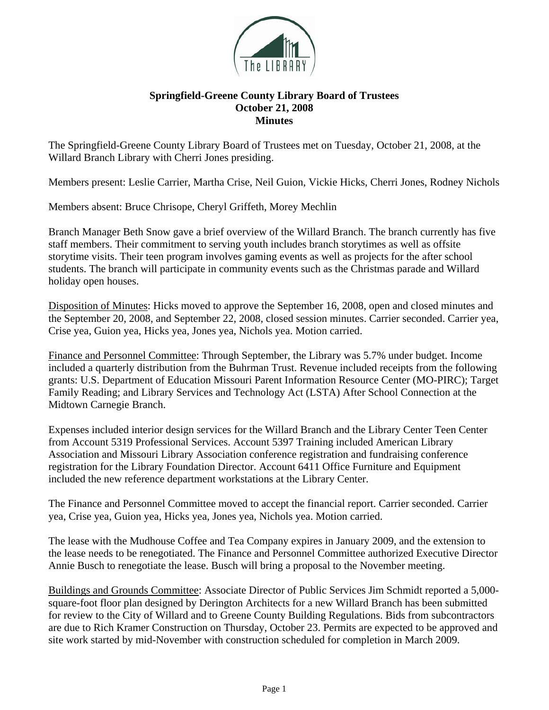

## **Springfield-Greene County Library Board of Trustees October 21, 2008 Minutes**

The Springfield-Greene County Library Board of Trustees met on Tuesday, October 21, 2008, at the Willard Branch Library with Cherri Jones presiding.

Members present: Leslie Carrier, Martha Crise, Neil Guion, Vickie Hicks, Cherri Jones, Rodney Nichols

Members absent: Bruce Chrisope, Cheryl Griffeth, Morey Mechlin

Branch Manager Beth Snow gave a brief overview of the Willard Branch. The branch currently has five staff members. Their commitment to serving youth includes branch storytimes as well as offsite storytime visits. Their teen program involves gaming events as well as projects for the after school students. The branch will participate in community events such as the Christmas parade and Willard holiday open houses.

Disposition of Minutes: Hicks moved to approve the September 16, 2008, open and closed minutes and the September 20, 2008, and September 22, 2008, closed session minutes. Carrier seconded. Carrier yea, Crise yea, Guion yea, Hicks yea, Jones yea, Nichols yea. Motion carried.

Finance and Personnel Committee: Through September, the Library was 5.7% under budget. Income included a quarterly distribution from the Buhrman Trust. Revenue included receipts from the following grants: U.S. Department of Education Missouri Parent Information Resource Center (MO-PIRC); Target Family Reading; and Library Services and Technology Act (LSTA) After School Connection at the Midtown Carnegie Branch.

Expenses included interior design services for the Willard Branch and the Library Center Teen Center from Account 5319 Professional Services. Account 5397 Training included American Library Association and Missouri Library Association conference registration and fundraising conference registration for the Library Foundation Director. Account 6411 Office Furniture and Equipment included the new reference department workstations at the Library Center.

The Finance and Personnel Committee moved to accept the financial report. Carrier seconded. Carrier yea, Crise yea, Guion yea, Hicks yea, Jones yea, Nichols yea. Motion carried.

The lease with the Mudhouse Coffee and Tea Company expires in January 2009, and the extension to the lease needs to be renegotiated. The Finance and Personnel Committee authorized Executive Director Annie Busch to renegotiate the lease. Busch will bring a proposal to the November meeting.

Buildings and Grounds Committee: Associate Director of Public Services Jim Schmidt reported a 5,000 square-foot floor plan designed by Derington Architects for a new Willard Branch has been submitted for review to the City of Willard and to Greene County Building Regulations. Bids from subcontractors are due to Rich Kramer Construction on Thursday, October 23. Permits are expected to be approved and site work started by mid-November with construction scheduled for completion in March 2009.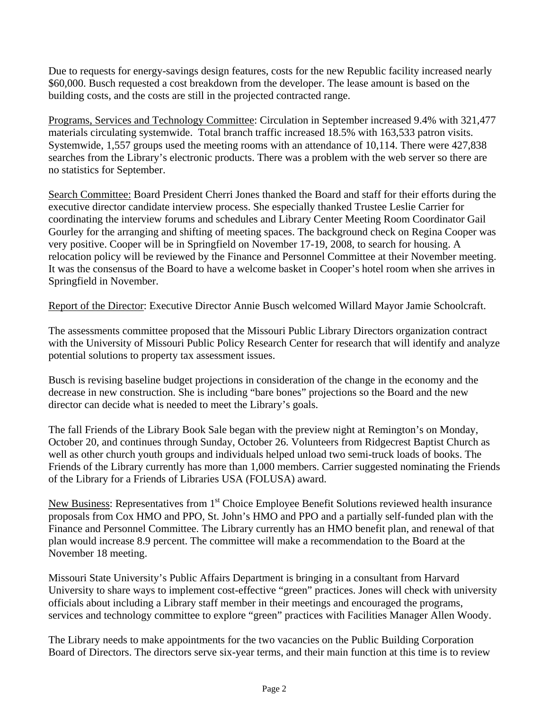Due to requests for energy-savings design features, costs for the new Republic facility increased nearly \$60,000. Busch requested a cost breakdown from the developer. The lease amount is based on the building costs, and the costs are still in the projected contracted range.

Programs, Services and Technology Committee: Circulation in September increased 9.4% with 321,477 materials circulating systemwide. Total branch traffic increased 18.5% with 163,533 patron visits. Systemwide, 1,557 groups used the meeting rooms with an attendance of 10,114. There were 427,838 searches from the Library's electronic products. There was a problem with the web server so there are no statistics for September.

Search Committee: Board President Cherri Jones thanked the Board and staff for their efforts during the executive director candidate interview process. She especially thanked Trustee Leslie Carrier for coordinating the interview forums and schedules and Library Center Meeting Room Coordinator Gail Gourley for the arranging and shifting of meeting spaces. The background check on Regina Cooper was very positive. Cooper will be in Springfield on November 17-19, 2008, to search for housing. A relocation policy will be reviewed by the Finance and Personnel Committee at their November meeting. It was the consensus of the Board to have a welcome basket in Cooper's hotel room when she arrives in Springfield in November.

Report of the Director: Executive Director Annie Busch welcomed Willard Mayor Jamie Schoolcraft.

The assessments committee proposed that the Missouri Public Library Directors organization contract with the University of Missouri Public Policy Research Center for research that will identify and analyze potential solutions to property tax assessment issues.

Busch is revising baseline budget projections in consideration of the change in the economy and the decrease in new construction. She is including "bare bones" projections so the Board and the new director can decide what is needed to meet the Library's goals.

The fall Friends of the Library Book Sale began with the preview night at Remington's on Monday, October 20, and continues through Sunday, October 26. Volunteers from Ridgecrest Baptist Church as well as other church youth groups and individuals helped unload two semi-truck loads of books. The Friends of the Library currently has more than 1,000 members. Carrier suggested nominating the Friends of the Library for a Friends of Libraries USA (FOLUSA) award.

New Business: Representatives from 1<sup>st</sup> Choice Employee Benefit Solutions reviewed health insurance proposals from Cox HMO and PPO, St. John's HMO and PPO and a partially self-funded plan with the Finance and Personnel Committee. The Library currently has an HMO benefit plan, and renewal of that plan would increase 8.9 percent. The committee will make a recommendation to the Board at the November 18 meeting.

Missouri State University's Public Affairs Department is bringing in a consultant from Harvard University to share ways to implement cost-effective "green" practices. Jones will check with university officials about including a Library staff member in their meetings and encouraged the programs, services and technology committee to explore "green" practices with Facilities Manager Allen Woody.

The Library needs to make appointments for the two vacancies on the Public Building Corporation Board of Directors. The directors serve six-year terms, and their main function at this time is to review